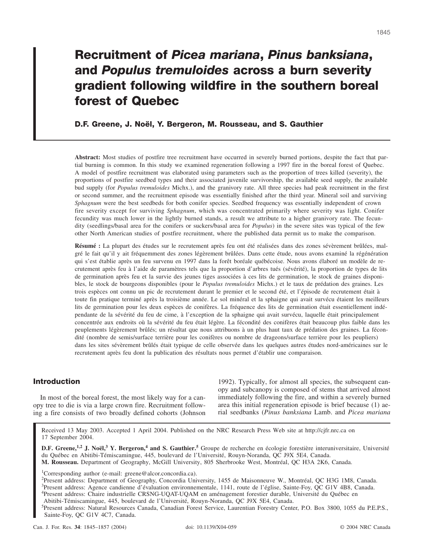# **Recruitment of** *Picea mariana***,** *Pinus banksiana***, and** *Populus tremuloides* **across a burn severity gradient following wildfire in the southern boreal forest of Quebec**

# **D.F. Greene, J. Noël, Y. Bergeron, M. Rousseau, and S. Gauthier**

**Abstract:** Most studies of postfire tree recruitment have occurred in severely burned portions, despite the fact that partial burning is common. In this study we examined regeneration following a 1997 fire in the boreal forest of Quebec. A model of postfire recruitment was elaborated using parameters such as the proportion of trees killed (severity), the proportions of postfire seedbed types and their associated juvenile survivorship, the available seed supply, the available bud supply (for *Populus tremuloides* Michx.), and the granivory rate. All three species had peak recruitment in the first or second summer, and the recruitment episode was essentially finished after the third year. Mineral soil and surviving *Sphagnum* were the best seedbeds for both conifer species. Seedbed frequency was essentially independent of crown fire severity except for surviving *Sphagnum*, which was concentrated primarily where severity was light. Conifer fecundity was much lower in the lightly burned stands, a result we attribute to a higher granivory rate. The fecundity (seedlings/basal area for the conifers or suckers/basal area for *Populus*) in the severe sites was typical of the few other North American studies of postfire recruitment, where the published data permit us to make the comparison.

**Résumé :** La plupart des études sur le recrutement après feu ont été réalisées dans des zones sévèrement brûlées, malgré le fait qu'il y ait fréquemment des zones légèrement brûlées. Dans cette étude, nous avons examiné la régénération qui s'est établie après un feu survenu en 1997 dans la forêt boréale québécoise. Nous avons élaboré un modèle de recrutement après feu à l'aide de paramètres tels que la proportion d'arbres tués (sévérité), la proportion de types de lits de germination après feu et la survie des jeunes tiges associées à ces lits de germination, le stock de graines disponibles, le stock de bourgeons disponibles (pour le *Populus tremuloides* Michx.) et le taux de prédation des graines. Les trois espèces ont connu un pic de recrutement durant le premier et le second été, et l'épisode de recrutement était à toute fin pratique terminé après la troisième année. Le sol minéral et la sphaigne qui avait survécu étaient les meilleurs lits de germination pour les deux espèces de conifères. La fréquence des lits de germination était essentiellement indépendante de la sévérité du feu de cime, à l'exception de la sphaigne qui avait survécu, laquelle était principalement concentrée aux endroits où la sévérité du feu était légère. La fécondité des conifères était beaucoup plus faible dans les peuplements légèrement brûlés; un résultat que nous attribuons à un plus haut taux de prédation des graines. La fécondité (nombre de semis/surface terrière pour les conifères ou nombre de drageons/surface terrière pour les peupliers) dans les sites sévèrement brûlés était typique de celle observée dans les quelques autres études nord-américaines sur le recrutement après feu dont la publication des résultats nous permet d'établir une comparaison.

# **Introduction**

In most of the boreal forest, the most likely way for a canopy tree to die is via a large crown fire. Recruitment following a fire consists of two broadly defined cohorts (Johnson

1992). Typically, for almost all species, the subsequent canopy and subcanopy is composed of stems that arrived almost immediately following the fire, and within a severely burned area this initial regeneration episode is brief because (1) aerial seedbanks (*Pinus banksiana* Lamb. and *Picea mariana*

Received 13 May 2003. Accepted 1 April 2004. Published on the NRC Research Press Web site at http://cjfr.nrc.ca on 17 September 2004.

**D.F. Greene,1,2 J. Noël,<sup>3</sup> Y. Bergeron,<sup>4</sup> and S. Gauthier.<sup>5</sup>** Groupe de recherche en écologie forestière interuniversitaire, Université du Québec en Abitibi-Témiscamingue, 445, boulevard de l'Université, Rouyn-Noranda, QC J9X 5E4, Canada. **M. Rousseau.** Department of Geography, McGill University, 805 Sherbrooke West, Montréal, QC H3A 2K6, Canada.

<sup>1</sup>Corresponding author (e-mail: greene@alcor.concordia.ca).

2 Present address: Department of Geography, Concordia University, 1455 de Maisonneuve W., Montréal, QC H3G 1M8, Canada.

3 Present address: Agence candienne d'évaluation environnementale, 1141, route de l'église, Sainte-Foy, QC G1V 4B8, Canada.

Abitibi-Témiscamingue, 445, boulevard de l'Université, Rouyn-Noranda, QC J9X 5E4, Canada. 5 Present address: Natural Resources Canada, Canadian Forest Service, Laurentian Forestry Center, P.O. Box 3800, 1055 du P.E.P.S.,

Sainte-Foy, QC G1V 4C7, Canada.

<sup>4</sup> Present address: Chaire industrielle CRSNG-UQAT-UQAM en aménagement forestier durable, Université du Québec en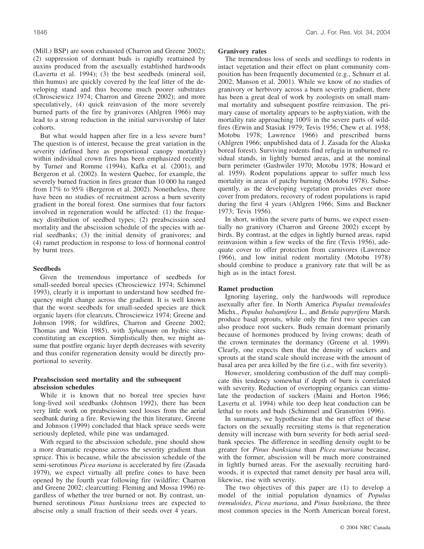(Mill.) BSP) are soon exhausted (Charron and Greene 2002); (2) suppression of dormant buds is rapidly reattained by auxins produced from the asexually established hardwoods (Lavertu et al. 1994); (3) the best seedbeds (mineral soil, thin humus) are quickly covered by the leaf litter of the developing stand and thus become much poorer substrates (Chrosciewicz 1974; Charron and Greene 2002); and more speculatively, (4) quick reinvasion of the more severely burned parts of the fire by granivores (Ahlgren 1966) may lead to a strong reduction in the initial survivorship of later cohorts.

But what would happen after fire in a less severe burn? The question is of interest, because the great variation in the severity (defined here as proportional canopy mortality) within individual crown fires has been emphasized recently by Turner and Romme (1994), Kafka et al. (2001), and Bergeron et al. (2002). In western Quebec, for example, the severely burned fraction in fires greater than 10 000 ha ranged from 17% to 95% (Bergeron et al. 2002). Nonetheless, there have been no studies of recruitment across a burn severity gradient in the boreal forest. One surmises that four factors involved in regeneration would be affected: (1) the frequency distribution of seedbed types; (2) preabscission seed mortality and the abscission schedule of the species with aerial seedbanks; (3) the initial density of granivores; and (4) ramet production in response to loss of hormonal control by burnt trees.

# **Seedbeds**

Given the tremendous importance of seedbeds for small-seeded boreal species (Chrosciewicz 1974; Schimmel 1993), clearly it is important to understand how seedbed frequency might change across the gradient. It is well known that the worst seedbeds for small-seeded species are thick organic layers (for clearcuts, Chrosciewicz 1974; Greene and Johnson 1998; for wildfires, Charron and Greene 2002; Thomas and Wein 1985), with *Sphagnum* on hydric sites constituting an exception. Simplistically then, we might assume that postfire organic layer depth decreases with severity and thus conifer regeneration density would be directly proportional to severity.

## **Preabscission seed mortality and the subsequent abscission schedules**

While it is known that no boreal tree species have long-lived soil seedbanks (Johnson 1992), there has been very little work on preabscission seed losses from the aerial seedbank during a fire. Reviewing the thin literature, Greene and Johnson (1999) concluded that black spruce seeds were seriously depleted, while pine was undamaged.

With regard to the abscission schedule, pine should show a more dramatic response across the severity gradient than spruce. This is because, while the abscission schedule of the semi-serotinous *Picea mariana* is accelerated by fire (Zasada 1979), we expect virtually all prefire cones to have been opened by the fourth year following fire (wildfire: Charron and Greene 2002; clearcutting: Fleming and Mossa 1996) regardless of whether the tree burned or not. By contrast, unburned serotinous *Pinus banksiana* trees are expected to abscise only a small fraction of their seeds over 4 years.

## **Granivory rates**

The tremendous loss of seeds and seedlings to rodents in intact vegetation and their effect on plant community composition has been frequently documented (e.g., Schnurr et al. 2002; Manson et al. 2001). While we know of no studies of granivory or herbivory across a burn severity gradient, there has been a great deal of work by zoologists on small mammal mortality and subsequent postfire reinvasion. The primary cause of mortality appears to be asphyxiation, with the mortality rate approaching 100% in the severe parts of wildfires (Erwin and Stasiak 1979; Tevis 1956; Chew et al. 1958; Motobu 1978; Lawrence 1966) and prescribed burns (Ahlgren 1966; unpublished data of J. Zasada for the Alaska boreal forest). Surviving rodents find refugia in unburned residual stands, in lightly burned areas, and at the nominal burn perimeter (Gashwiler 1970; Motobu 1978; Howard et al. 1959). Rodent populations appear to suffer much less mortality in areas of patchy burning (Motobu 1978). Subsequently, as the developing vegetation provides ever more cover from predators, recovery of rodent populations is rapid during the first 4 years (Ahlgren 1966; Sims and Buckner 1973; Tevis 1956).

In short, within the severe parts of burns, we expect essentially no granivory (Charron and Greene 2002) except by birds. By contrast, at the edges in lightly burned areas, rapid reinvasion within a few weeks of the fire (Tevis 1956), adequate cover to offer protection from carnivores (Lawrence 1966), and low initial rodent mortality (Motobu 1978) should combine to produce a granivory rate that will be as high as in the intact forest.

## **Ramet production**

Ignoring layering, only the hardwoods will reproduce asexually after fire. In North America *Populus tremuloides* Michx., *Populus balsamifera* L., and *Betula papyrifera* Marsh. produce basal sprouts, while only the first two species can also produce root suckers. Buds remain dormant primarily because of hormones produced by living crowns; death of the crown terminates the dormancy (Greene et al. 1999). Clearly, one expects then that the density of suckers and sprouts at the stand scale should increase with the amount of basal area per area killed by the fire (i.e., with fire severity).

However, smoldering combustion of the duff may complicate this tendency somewhat if depth of burn is correlated with severity. Reduction of overtopping organics can stimulate the production of suckers (Maini and Horton 1966; Lavertu et al. 1994) while too deep heat conduction can be lethal to roots and buds (Schimmel and Granström 1996).

In summary, we hypothesize that the net effect of these factors on the sexually recruiting stems is that regeneration density will increase with burn severity for both aerial seedbank species. The difference in seedling density ought to be greater for *Pinus banksiana* than *Picea mariana* because, with the former, abscission will be much more constrained in lightly burned areas. For the asexually recruiting hardwoods, it is expected that ramet density per basal area will, likewise, rise with severity.

The two objectives of this paper are (1) to develop a model of the initial population dynamics of *Populus tremuloides*, *Picea mariana*, and *Pinus banksiana*, the three most common species in the North American boreal forest,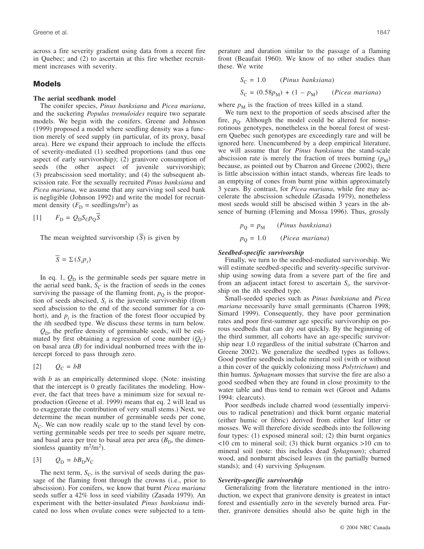across a fire severity gradient using data from a recent fire in Quebec; and (2) to ascertain at this fire whether recruitment increases with severity.

# **Models**

## **The aerial seedbank model**

The conifer species, *Pinus banksiana* and *Picea mariana*, and the suckering *Populus tremuloides* require two separate models. We begin with the conifers. Greene and Johnson (1999) proposed a model where seedling density was a function merely of seed supply (in particular, of its proxy, basal area). Here we expand their approach to include the effects of severity-mediated (1) seedbed proportions (and thus one aspect of early survivorship); (2) granivore consumption of seeds (the other aspect of juvenile survivorship); (3) preabscission seed mortality; and (4) the subsequent abscission rate. For the sexually recruited *Pinus banksiana* and *Picea mariana*, we assume that any surviving soil seed bank is negligible (Johnson 1992) and write the model for recruitment density  $(F_D = \text{seedlings/m}^2)$  as

$$
[1] \qquad F_{\rm D} = Q_{\rm D} S_{\rm C} p_{\rm Q} S
$$

The mean weighted survivorship (*S*) is given by

$$
\overline{S} = \Sigma (S_i p_i)
$$

In eq. 1,  $Q_D$  is the germinable seeds per square metre in the aerial seed bank,  $S_C$  is the fraction of seeds in the cones surviving the passage of the flaming front,  $p<sub>O</sub>$  is the proportion of seeds abscised,  $S_i$  is the juvenile survivorship (from seed abscission to the end of the second summer for a cohort), and  $p_i$  is the fraction of the forest floor occupied by the *i*th seedbed type. We discuss these terms in turn below.

 $Q<sub>D</sub>$ , the prefire density of germinable seeds, will be estimated by first obtaining a regression of cone number  $(Q_C)$ on basal area (*B*) for individual nonburned trees with the intercept forced to pass through zero.

$$
[2] \qquad Q_{\rm C} = bB
$$

with *b* as an empirically determined slope. (Note: insisting that the intercept is 0 greatly facilitates the modeling. However, the fact that trees have a minimum size for sexual reproduction (Greene et al. 1999) means that eq. 2 will lead us to exaggerate the contribution of very small stems.) Next, we determine the mean number of germinable seeds per cone,  $N_{\rm C}$ . We can now readily scale up to the stand level by converting germinable seeds per tree to seeds per square metre, and basal area per tree to basal area per area  $(B<sub>D</sub>)$ , the dimensionless quantity  $m^2/m^2$ ).

$$
[3] \qquad Q_{\rm D} = b B_{\rm D} N_{\rm C}
$$

The next term,  $S_C$ , is the survival of seeds during the passage of the flaming front through the crowns (i.e., prior to abscission). For conifers, we know that burnt *Picea mariana* seeds suffer a 42% loss in seed viability (Zasada 1979). An experiment with the better-insulated *Pinus banksiana* indicated no loss when ovulate cones were subjected to a temperature and duration similar to the passage of a flaming front (Beaufait 1960). We know of no other studies than these. We write

$$
S_C = 1.0
$$
 (*Pinus banksiana*)  

$$
S_C = (0.58p_M) + (1 - p_M)
$$
 (*Picea mariana*)

where  $p_M$  is the fraction of trees killed in a stand.

We turn next to the proportion of seeds abscised after the fire,  $p_{\text{O}}$ . Although the model could be altered for nonserotinous genotypes, nonetheless in the boreal forest of western Quebec such genotypes are exceedingly rare and will be ignored here. Unencumbered by a deep empirical literature, we will assume that for *Pinus banksiana* the stand-scale abscission rate is merely the fraction of trees burning  $(p_M)$ because, as pointed out by Charron and Greene (2002), there is little abscission within intact stands, whereas fire leads to an emptying of cones from burnt pine within approximately 3 years. By contrast, for *Picea mariana*, while fire may accelerate the abscission schedule (Zasada 1979), nonetheless most seeds would still be abscised within 3 years in the absence of burning (Fleming and Mossa 1996). Thus, grossly

$$
p_{Q} = p_{M}
$$
 (*Pinus banksiana*)  

$$
p_{Q} = 1.0
$$
 (*Picea mariana*)

# *Seedbed-specific survivorship*

Finally, we turn to the seedbed-mediated survivorship. We will estimate seedbed-specific and severity-specific survivorship using sowing data from a severe part of the fire and from an adjacent intact forest to ascertain  $S_i$ , the survivorship on the *i*th seedbed type.

Small-seeded species such as *Pinus banksiana* and *Picea mariana* necessarily have small germinants (Charron 1998; Simard 1999). Consequently, they have poor germination rates and poor first-summer age specific survivorship on porous seedbeds that can dry out quickly. By the beginning of the third summer, all cohorts have an age-specific survivorship near 1.0 regardless of the initial substrate (Charron and Greene 2002). We generalize the seedbed types as follows. Good postfire seedbeds include mineral soil (with or without a thin cover of the quickly colonizing moss *Polytrichum*) and thin humus. *Sphagnum* mosses that survive the fire are also a good seedbed when they are found in close proximity to the water table and thus tend to remain wet (Groot and Adams 1994: clearcuts).

Poor seedbeds include charred wood (essentially impervious to radical penetration) and thick burnt organic material (either humic or fibric) derived from either leaf litter or mosses. We will therefore divide seedbeds into the following four types: (1) exposed mineral soil; (2) thin burnt organics <10 cm to mineral soil; (3) thick burnt organics >10 cm to mineral soil (note: this includes dead *Sphagnum*); charred wood, and nonburnt abscised leaves (in the partially burned stands); and (4) surviving *Sphagnum*.

#### *Severity-specific survivorship*

Generalizing from the literature mentioned in the introduction, we expect that granivore density is greatest in intact forest and essentially zero in the severely burned area. Further, granivore densities should also be quite high in the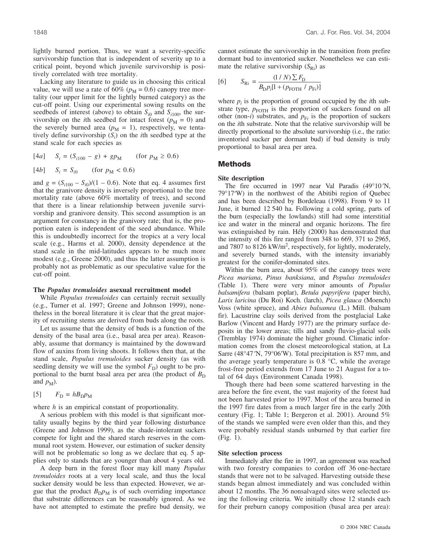lightly burned portion. Thus, we want a severity-specific survivorship function that is independent of severity up to a critical point, beyond which juvenile survivorship is positively correlated with tree mortality.

Lacking any literature to guide us in choosing this critical value, we will use a rate of 60% ( $p_M$  = 0.6) canopy tree mortality (our upper limit for the lightly burned category) as the cut-off point. Using our experimental sowing results on the seedbeds of interest (above) to obtain  $S_{i0}$  and  $S_{i100}$ , the survivorship on the *i*th seedbed for intact forest ( $p_M = 0$ ) and the severely burned area ( $p_M = 1$ ), respectively, we tentatively define survivorship  $(S_i)$  on the *i*th seedbed type at the stand scale for each species as

$$
[4a] \t Si = (Si100 - g) + gpM \t (for pM \ge 0.6)
$$

[4b] 
$$
S_i = S_{i0}
$$
 (for  $p_M < 0.6$ )

and  $g = (S_{i100} - S_{i0})/(1 - 0.6)$ . Note that eq. 4 assumes first that the granivore density is inversely proportional to the tree mortality rate (above 60% mortality of trees), and second that there is a linear relationship between juvenile survivorship and granivore density. This second assumption is an argument for constancy in the granivory rate; that is, the proportion eaten is independent of the seed abundance. While this is undoubtedly incorrect for the tropics at a very local scale (e.g., Harms et al. 2000), density dependence at the stand scale in the mid-latitudes appears to be much more modest (e.g., Greene 2000), and thus the latter assumption is probably not as problematic as our speculative value for the cut-off point.

#### **The** *Populus tremuloides* **asexual recruitment model**

While *Populus tremuloides* can certainly recruit sexually (e.g., Turner et al. 1997; Greene and Johnson 1999), nonetheless in the boreal literature it is clear that the great majority of recruiting stems are derived from buds along the roots.

Let us assume that the density of buds is a function of the density of the basal area (i.e., basal area per area). Reasonably, assume that dormancy is maintained by the downward flow of auxins from living shoots. It follows then that, at the stand scale, *Populus tremuloides* sucker density (as with seedling density we will use the symbol  $F<sub>D</sub>$ ) ought to be proportional to the burnt basal area per area (the product of  $B_D$ ) and  $p_M$ ).

$$
[5] \qquad F_{\rm D} = h B_{\rm D} p_{\rm M}
$$

where *h* is an empirical constant of proportionality.

A serious problem with this model is that significant mortality usually begins by the third year following disturbance (Greene and Johnson 1999), as the shade-intolerant suckers compete for light and the shared starch reserves in the communal root system. However, our estimation of sucker density will not be problematic so long as we declare that eq. 5 applies only to stands that are younger than about 4 years old.

A deep burn in the forest floor may kill many *Populus tremuloides* roots at a very local scale, and thus the local sucker density would be less than expected. However, we argue that the product  $B_{D}p_{M}$  is of such overriding importance that substrate differences can be reasonably ignored. As we have not attempted to estimate the prefire bud density, we cannot estimate the survivorship in the transition from prefire dormant bud to inventoried sucker. Nonetheless we can estimate the relative survivorship  $(S_{\text{Ri}})$  as

[6] 
$$
S_{\text{Ri}} = \frac{(1/N)\sum F_{\text{D}}}{B_{\text{D}}p_{i}[1 + (p_{\text{FOTH}} / p_{\text{F}i})]}
$$

where  $p_i$  is the proportion of ground occupied by the *i*th substrate type,  $p_{\text{FOTH}}$  is the proportion of suckers found on all other (non-*i*) substrates, and  $p_{Fi}$  is the proportion of suckers on the *i*th substrate. Note that the relative survivorship will be directly proportional to the absolute survivorship (i.e., the ratio: inventoried sucker per dormant bud) if bud density is truly proportional to basal area per area.

## **Methods**

#### **Site description**

The fire occurred in 1997 near Val Paradis (49°10′N, 79°17′W) in the northwest of the Abitibi region of Quebec and has been described by Bordeleau (1998). From 9 to 11 June, it burned 12 540 ha. Following a cold spring, parts of the burn (especially the lowlands) still had some interstitial ice and water in the mineral and organic horizons. The fire was extinguished by rain. Hély (2000) has demonstrated that the intensity of this fire ranged from 348 to 669, 371 to 2965, and 7807 to  $8126$  kW/m<sup>2</sup>, respectively, for lightly, moderately, and severely burned stands, with the intensity invariably greatest for the conifer-dominated sites.

Within the burn area, about 95% of the canopy trees were *Picea mariana*, *Pinus banksiana*, and *Populus tremuloides* (Table 1). There were very minor amounts of *Populus balsamifera* (balsam poplar), *Betula papyrifera* (paper birch), *Larix laricina* (Du Roi) Koch. (larch), *Picea glauca* (Moench) Voss (white spruce), and *Abies balsamea* (L.) Mill. (balsam fir). Lacustrine clay soils derived from the postglacial Lake Barlow (Vincent and Hardy 1977) are the primary surface deposits in the lower areas; tills and sandy fluvio-glacial soils (Tremblay 1974) dominate the higher ground. Climatic information comes from the closest meteorological station, at La Sarre (48°47 ′N, 79°06′W). Total precipitation is 857 mm, and the average yearly temperature is 0.8 °C, while the average frost-free period extends from 17 June to 21 August for a total of 64 days (Environment Canada 1998).

Though there had been some scattered harvesting in the area before the fire event, the vast majority of the forest had not been harvested prior to 1997. Most of the area burned in the 1997 fire dates from a much larger fire in the early 20th century (Fig. 1; Table 1; Bergeron et al. 2001). Around 5% of the stands we sampled were even older than this, and they were probably residual stands unburned by that earlier fire (Fig. 1).

#### **Site selection process**

Immediately after the fire in 1997, an agreement was reached with two forestry companies to cordon off 36 one-hectare stands that were not to be salvaged. Harvesting outside these stands began almost immediately and was concluded within about 12 months. The 36 nonsalvaged sites were selected using the following criteria. We initially chose 12 stands each for their preburn canopy composition (basal area per area):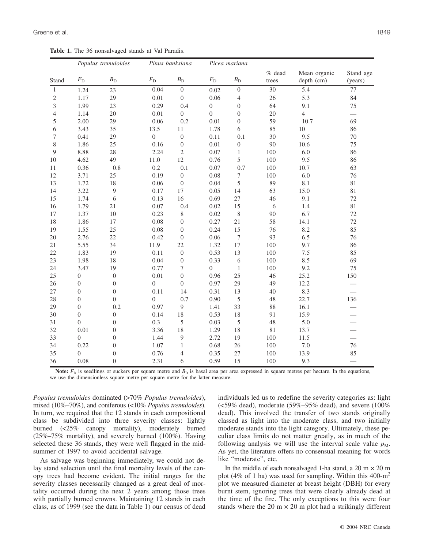**Table 1.** The 36 nonsalvaged stands at Val Paradis.

|                | Populus tremuloides |                  | Pinus banksiana  |                  | Picea mariana    |                  |                   |                            |                          |
|----------------|---------------------|------------------|------------------|------------------|------------------|------------------|-------------------|----------------------------|--------------------------|
| Stand          | $F_{\rm D}$         | $B_{\rm D}$      | $F_{\rm D}$      | $B_{\rm D}$      | $F_{\rm D}$      | $B_{\rm D}$      | $%$ dead<br>trees | Mean organic<br>depth (cm) | Stand age<br>(years)     |
| $\mathbf{1}$   | 1.24                | 23               | 0.04             | $\boldsymbol{0}$ | 0.02             | $\boldsymbol{0}$ | 30                | 5.4                        | 77                       |
| $\overline{c}$ | 1.17                | 29               | 0.01             | $\boldsymbol{0}$ | 0.06             | $\overline{4}$   | 26                | 5.3                        | 84                       |
| 3              | 1.99                | 23               | 0.29             | 0.4              | $\boldsymbol{0}$ | $\boldsymbol{0}$ | 64                | 9.1                        | 75                       |
| 4              | 1.14                | 20               | 0.01             | $\overline{0}$   | $\overline{0}$   | $\boldsymbol{0}$ | 20                | $\overline{4}$             | $\overline{\phantom{0}}$ |
| 5              | 2.00                | 29               | 0.06             | 0.2              | 0.01             | $\mathbf{0}$     | 59                | 10.7                       | 69                       |
| 6              | 3.43                | 35               | 13.5             | 11               | 1.78             | 6                | 85                | 10                         | 86                       |
| 7              | 0.41                | 29               | $\boldsymbol{0}$ | $\boldsymbol{0}$ | 0.11             | 0.1              | 30                | 9.5                        | 70                       |
| 8              | 1.86                | 25               | 0.16             | $\boldsymbol{0}$ | 0.01             | $\boldsymbol{0}$ | 90                | 10.6                       | 75                       |
| 9              | 8.88                | 28               | 2.24             | $\mathfrak{2}$   | 0.07             | $\mathbf{1}$     | 100               | 6.0                        | 86                       |
| 10             | 4.62                | 49               | 11.0             | 12               | 0.76             | 5                | 100               | 9.5                        | 86                       |
| 11             | 0.36                | 0.8              | 0.2              | 0.1              | 0.07             | 0.7              | 100               | 10.7                       | 63                       |
| 12             | 3.71                | 25               | 0.19             | $\boldsymbol{0}$ | 0.08             | 7                | 100               | 6.0                        | 76                       |
| 13             | 1.72                | 18               | 0.06             | $\boldsymbol{0}$ | 0.04             | 5                | 89                | 8.1                        | 81                       |
| 14             | 3.22                | 9                | 0.17             | 17               | 0.05             | 14               | 63                | 15.0                       | 81                       |
| 15             | 1.74                | 6                | 0.13             | 16               | 0.69             | 27               | 46                | 9.1                        | 72                       |
| 16             | 1.79                | 21               | 0.07             | 0.4              | 0.02             | 15               | 6                 | 1.4                        | 81                       |
| 17             | 1.37                | 10               | 0.23             | 8                | 0.02             | $\,$ 8 $\,$      | 90                | 6.7                        | 72                       |
| 18             | 1.86                | 17               | 0.08             | $\boldsymbol{0}$ | 0.27             | 21               | 58                | 14.1                       | 72                       |
| 19             | 1.55                | 25               | 0.08             | $\boldsymbol{0}$ | 0.24             | 15               | 76                | 8.2                        | 85                       |
| 20             | 2.76                | 22               | 0.42             | $\mathbf{0}$     | 0.06             | $\overline{7}$   | 93                | 6.5                        | 76                       |
| 21             | 5.55                | 34               | 11.9             | 22               | 1.32             | 17               | 100               | 9.7                        | 86                       |
| 22             | 1.83                | 19               | 0.11             | $\boldsymbol{0}$ | 0.53             | 13               | 100               | 7.5                        | 85                       |
| 23             | 1.98                | 18               | 0.04             | $\boldsymbol{0}$ | 0.33             | 6                | 100               | 8.5                        | 69                       |
| 24             | 3.47                | 19               | 0.77             | 7                | $\boldsymbol{0}$ | $\mathbf{1}$     | 100               | 9.2                        | 75                       |
| 25             | $\boldsymbol{0}$    | $\boldsymbol{0}$ | 0.01             | $\boldsymbol{0}$ | 0.96             | 25               | 46                | 25.2                       | 150                      |
| 26             | $\boldsymbol{0}$    | $\boldsymbol{0}$ | $\overline{0}$   | $\boldsymbol{0}$ | 0.97             | 29               | 49                | 12.2                       |                          |
| 27             | $\mathbf{0}$        | $\boldsymbol{0}$ | 0.11             | 14               | 0.31             | 13               | 40                | 8.3                        |                          |
| 28             | $\boldsymbol{0}$    | $\overline{0}$   | $\overline{0}$   | 0.7              | 0.90             | 5                | 48                | 22.7                       | 136                      |
| 29             | $\boldsymbol{0}$    | 0.2              | 0.97             | 9                | 1.41             | 33               | 88                | 16.1                       |                          |
| 30             | $\overline{0}$      | $\overline{0}$   | 0.14             | 18               | 0.53             | 18               | 91                | 15.9                       |                          |
| 31             | $\theta$            | $\overline{0}$   | 0.3              | 5                | 0.03             | 5                | 48                | 5.0                        |                          |
| 32             | 0.01                | $\boldsymbol{0}$ | 3.36             | 18               | 1.29             | 18               | 81                | 13.7                       |                          |
| 33             | $\overline{0}$      | $\boldsymbol{0}$ | 1.44             | $\mathbf{9}$     | 2.72             | 19               | 100               | 11.5                       |                          |
| 34             | 0.22                | $\boldsymbol{0}$ | 1.07             | $\mathbf{1}$     | 0.68             | 26               | 100               | 7.0                        | 76                       |
| 35             | $\overline{0}$      | $\boldsymbol{0}$ | 0.76             | $\overline{4}$   | 0.35             | 27               | 100               | 13.9                       | 85                       |
| 36             | 0.08                | $\overline{0}$   | 2.31             | 6                | 0.59             | 15               | 100               | 9.3                        |                          |

**Note:**  $F<sub>D</sub>$  is seedlings or suckers per square metre and  $B<sub>D</sub>$  is basal area per area expressed in square metres per hectare. In the equations, we use the dimensionless square metre per square metre for the latter measure.

*Populus tremuloides* dominated (>70% *Populus tremuloides*), mixed (10%–70%), and coniferous (<10% *Populus tremuloides*). In turn, we required that the 12 stands in each compositional class be subdivided into three severity classes: lightly burned (<25% canopy mortality), moderately burned (25%–75% mortality), and severely burned (100%). Having selected these 36 stands, they were well flagged in the midsummer of 1997 to avoid accidental salvage.

As salvage was beginning immediately, we could not delay stand selection until the final mortality levels of the canopy trees had become evident. The initial ranges for the severity classes necessarily changed as a great deal of mortality occurred during the next 2 years among those trees with partially burned crowns. Maintaining 12 stands in each class, as of 1999 (see the data in Table 1) our census of dead individuals led us to redefine the severity categories as: light ( $59\%$  dead), moderate ( $59\%$ – $95\%$  dead), and severe ( $100\%$ dead). This involved the transfer of two stands originally classed as light into the moderate class, and two initially moderate stands into the light category. Ultimately, these peculiar class limits do not matter greatly, as in much of the following analysis we will use the interval scale value  $p_M$ . As yet, the literature offers no consensual meaning for words like "moderate", etc.

In the middle of each nonsalvaged 1-ha stand, a  $20 \text{ m} \times 20 \text{ m}$ plot (4% of 1 ha) was used for sampling. Within this  $400\text{-m}^2$ plot we measured diameter at breast height (DBH) for every burnt stem, ignoring trees that were clearly already dead at the time of the fire. The only exceptions to this were four stands where the 20 m  $\times$  20 m plot had a strikingly different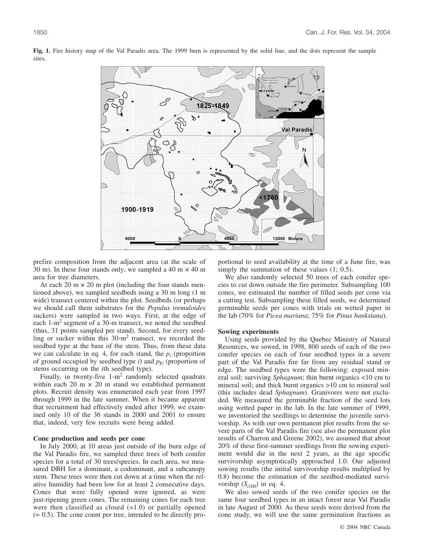

**Fig. 1.** Fire history map of the Val Paradis area. The 1999 burn is represented by the solid line, and the dots represent the sample sites.

prefire composition from the adjacent area (at the scale of 30 m). In these four stands only, we sampled a 40 m  $\times$  40 m area for tree diameters.

At each 20 m  $\times$  20 m plot (including the four stands mentioned above), we sampled seedbeds using a 30 m long (1 m wide) transect centered within the plot. Seedbeds (or perhaps we should call them substrates for the *Populus tremuloides* suckers) were sampled in two ways. First, at the edge of each 1-m<sup>2</sup> segment of a 30-m transect, we noted the seedbed (thus, 31 points sampled per stand). Second, for every seedling or sucker within this  $30-m^2$  transect, we recorded the seedbed type at the base of the stem. Thus, from these data we can calculate in eq. 4, for each stand, the  $p_i$  (proportion of ground occupied by seedbed type *i*) and  $p_{Fi}$  (proportion of stems occurring on the *i*th seedbed type).

Finally, in twenty-five  $1-m^2$  randomly selected quadrats within each 20 m  $\times$  20 m stand we established permanent plots. Recruit density was enumerated each year from 1997 through 1999 in the late summer. When it became apparent that recruitment had effectively ended after 1999, we examined only 10 of the 36 stands in 2000 and 2001 to ensure that, indeed, very few recruits were being added.

#### **Cone production and seeds per cone**

In July 2000, at 10 areas just outside of the burn edge of the Val Paradis fire, we sampled three trees of both conifer species for a total of 30 trees/species. In each area, we measured DBH for a dominant, a codominant, and a subcanopy stem. These trees were then cut down at a time when the relative humidity had been low for at least 2 consecutive days. Cones that were fully opened were ignored, as were just-ripening green cones. The remaining cones for each tree were then classified as closed  $(=1.0)$  or partially opened (= 0.5). The cone count per tree, intended to be directly proportional to seed availability at the time of a June fire, was simply the summation of these values (1; 0.5).

We also randomly selected 50 trees of each conifer species to cut down outside the fire perimeter. Subsampling 100 cones, we estimated the number of filled seeds per cone via a cutting test. Subsampling these filled seeds, we determined germinable seeds per cones with trials on wetted paper in the lab (70% for *Picea mariana*; 75% for *Pinus banksiana*).

### **Sowing experiments**

Using seeds provided by the Quebec Ministry of Natural Resources, we sowed, in 1998, 800 seeds of each of the two conifer species on each of four seedbed types in a severe part of the Val Paradis fire far from any residual stand or edge. The seedbed types were the following: exposed mineral soil; surviving *Sphagnum*; thin burnt organics <10 cm to mineral soil; and thick burnt organics >10 cm to mineral soil (this includes dead *Sphagnum*). Granivores were not excluded. We measured the germinable fraction of the seed lots using wetted paper in the lab. In the late summer of 1999, we inventoried the seedlings to determine the juvenile survivorship. As with our own permanent plot results from the severe parts of the Val Paradis fire (see also the permanent plot results of Charron and Greene 2002), we assumed that about 20% of these first-summer seedlings from the sowing experiment would die in the next 2 years, as the age specific survivorship asymptotically approached 1.0. Our adjusted sowing results (the initial survivorship results multiplied by 0.8) become the estimation of the seedbed-mediated survivorship  $(S<sub>i100</sub>)$  in eq. 4.

We also sowed seeds of the two conifer species on the same four seedbed types in an intact forest near Val Paradis in late August of 2000. As these seeds were derived from the cone study, we will use the same germination fractions as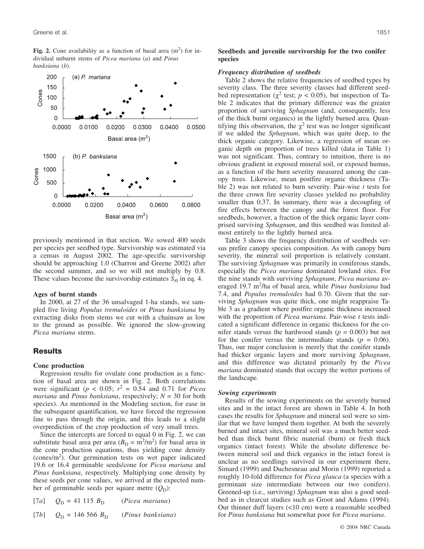Fig. 2. Cone availability as a function of basal area  $(m<sup>2</sup>)$  for individual unburnt stems of *Picea mariana* (*a*) and *Pinus banksiana* (*b*).



previously mentioned in that section. We sowed 400 seeds per species per seedbed type. Survivorship was estimated via a census in August 2002. The age-specific survivorship should be approaching 1.0 (Charron and Greene 2002) after the second summer, and so we will not multiply by 0.8. These values become the survivorship estimates  $S_{i0}$  in eq. 4.

#### **Ages of burnt stands**

In 2000, at 27 of the 36 unsalvaged 1-ha stands, we sampled five living *Populus tremuloides* or *Pinus banksiana* by extracting disks from stems we cut with a chainsaw as low to the ground as possible. We ignored the slow-growing *Picea mariana* stems.

# **Results**

### **Cone production**

Regression results for ovulate cone production as a function of basal area are shown in Fig. 2. Both correlations were significant ( $p < 0.05$ ;  $r^2 = 0.54$  and 0.71 for *Picea mariana* and *Pinus banksiana*, respectively; *N* = 30 for both species). As mentioned in the Modeling section, for ease in the subsequent quantification, we have forced the regression line to pass through the origin, and this leads to a slight overprediction of the crop production of very small trees.

Since the intercepts are forced to equal 0 in Fig. 2, we can substitute basal area per area  $(B_D = m^2/m^2)$  for basal area in the cone production equations, thus yielding cone density  $(\text{cones/m}^2)$ . Our germination tests on wet paper indicated 19.6 or 16.4 germinable seeds/cone for *Picea mariana* and *Pinus banksiana*, respectively. Multiplying cone density by these seeds per cone values, we arrived at the expected number of germinable seeds per square metre  $(Q_D)$ :

| [7a] | $Q_{\rm D} = 41 115 B_{\rm D}$    | <i>(Picea mariana)</i> |
|------|-----------------------------------|------------------------|
| [7b] | $Q_{\rm D} = 146\,566\,B_{\rm D}$ | (Pinus banksiana)      |

### **Seedbeds and juvenile survivorship for the two conifer species**

#### *Frequency distribution of seedbeds*

Table 2 shows the relative frequencies of seedbed types by severity class. The three severity classes had different seedbed representation ( $\chi^2$  test;  $p < 0.05$ ), but inspection of Table 2 indicates that the primary difference was the greater proportion of surviving *Sphagnum* (and, consequently, less of the thick burnt organics) in the lightly burned area. Quantifying this observation, the  $\chi^2$  test was no longer significant if we added the *Sphagnum*, which was quite deep, to the thick organic category. Likewise, a regression of mean organic depth on proportion of trees killed (data in Table 1) was not significant. Thus, contrary to intuition, there is no obvious gradient in exposed mineral soil, or exposed humus, as a function of the burn severity measured among the canopy trees. Likewise, mean postfire organic thickness (Table 2) was not related to burn severity. Pair-wise *t* tests for the three crown fire severity classes yielded no probability smaller than 0.37. In summary, there was a decoupling of fire effects between the canopy and the forest floor. For seedbeds, however, a fraction of the thick organic layer comprised surviving *Sphagnum*, and this seedbed was limited almost entirely to the lightly burned area.

Table 3 shows the frequency distribution of seedbeds versus prefire canopy species composition. As with canopy burn severity, the mineral soil proportion is relatively constant. The surviving *Sphagnum* was primarily in coniferous stands, especially the *Picea mariana* dominated lowland sites. For the nine stands with surviving *Sphagnum*, *Picea mariana* averaged 19.7 m<sup>2</sup>/ha of basal area, while Pinus banksiana had 7.4, and *Populus tremuloides* had 0.70. Given that the surviving *Sphagnum* was quite thick, one might reappraise Table 3 as a gradient where postfire organic thickness increased with the proportion of *Picea mariana*. Pair-wise *t* tests indicated a significant difference in organic thickness for the conifer stands versus the hardwood stands ( $p = 0.003$ ) but not for the conifer versus the intermediate stands  $(p = 0.06)$ . Thus, our major conclusion is merely that the conifer stands had thicker organic layers and more surviving *Sphagnum*, and this difference was dictated primarily by the *Picea mariana* dominated stands that occupy the wetter portions of the landscape.

#### *Sowing experiments*

Results of the sowing experiments on the severely burned sites and in the intact forest are shown in Table 4. In both cases the results for *Sphagnum* and mineral soil were so similar that we have lumped them together. At both the severely burned and intact sites, mineral soil was a much better seedbed than thick burnt fibric material (burn) or fresh thick organics (intact forest). While the absolute difference between mineral soil and thick organics in the intact forest is unclear as no seedlings survived in our experiment there, Simard (1999) and Duchesneau and Morin (1999) reported a roughly 10-fold difference for *Picea glauca* (a species with a germinant size intermediate between our two conifers). Greened-up (i.e., surviving) *Sphagnum* was also a good seedbed as in clearcut studies such as Groot and Adams (1994). Our thinner duff layers (<10 cm) were a reasonable seedbed for *Pinus banksiana* but somewhat poor for *Picea mariana*.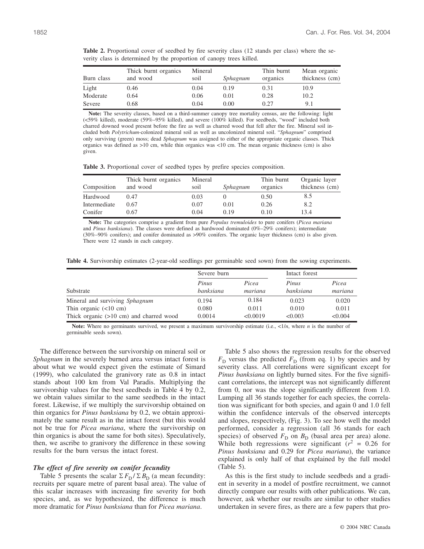| Burn class | Thick burnt organics<br>and wood | Mineral<br>soil | Sphagnum | Thin burnt<br>organics | Mean organic<br>thickness (cm) |
|------------|----------------------------------|-----------------|----------|------------------------|--------------------------------|
| Light      | 0.46                             | 0.04            | 0.19     | 0.31                   | 10.9                           |
| Moderate   | 0.64                             | 0.06            | 0.01     | 0.28                   | 10.2                           |
| Severe     | 0.68                             | 0.04            | 0.00     | 0.27                   | 9.1                            |

**Table 2.** Proportional cover of seedbed by fire severity class (12 stands per class) where the severity class is determined by the proportion of canopy trees killed.

**Note:** The severity classes, based on a third-summer canopy tree mortality census, are the following: light (<59% killed), moderate (59%–95% killed), and severe (100% killed). For seedbeds, "wood" included both charred downed wood present before the fire as well as charred wood that fell after the fire. Mineral soil included both *Polytrichum*-colonized mineral soil as well as uncolonized mineral soil. "*Sphagnum*" comprised only surviving (green) moss; dead *Sphagnum* was assigned to either of the appropriate organic classes. Thick organics was defined as >10 cm, while thin organics was <10 cm. The mean organic thickness (cm) is also given.

**Table 3.** Proportional cover of seedbed types by prefire species composition.

|              | Thick burnt organics | Mineral |          | Thin burnt | Organic layer  |
|--------------|----------------------|---------|----------|------------|----------------|
| Composition  | and wood             | soil    | Sphagnum | organics   | thickness (cm) |
| Hardwood     | 0.47                 | 0.03    |          | 0.50       | 8.5            |
| Intermediate | 0.67                 | 0.07    | 0.01     | 0.26       | 8.2            |
| Conifer      | 0.67                 | 0.04    | 0.19     | 0.10       | 13.4           |

**Note:** The categories comprise a gradient from pure *Populus tremuloides* to pure conifers (*Picea mariana* and *Pinus banksiana*). The classes were defined as hardwood dominated (0%–29% conifers); intermediate (30%–90% conifers); and conifer dominated as >90% conifers. The organic layer thickness (cm) is also given. There were 12 stands in each category.

**Table 4.** Survivorship estimates (2-year-old seedlings per germinable seed sown) from the sowing experiments.

|                                           | Severe burn        |                  | Intact forest      |                  |
|-------------------------------------------|--------------------|------------------|--------------------|------------------|
| Substrate                                 | Pinus<br>banksiana | Picea<br>mariana | Pinus<br>banksiana | Picea<br>mariana |
| Mineral and surviving Sphagnum            | 0.194              | 0.184            | 0.023              | 0.020            |
| Thin organic $(<10$ cm)                   | 0.080              | 0.011            | 0.010              | 0.011            |
| Thick organic $(>10$ cm) and charred wood | 0.0014             | < 0.0019         | < 0.003            | < 0.004          |

**Note:** Where no germinants survived, we present a maximum survivorship estimate (i.e., <1/*n*, where *n* is the number of germinable seeds sown).

The difference between the survivorship on mineral soil or *Sphagnum* in the severely burned area versus intact forest is about what we would expect given the estimate of Simard (1999), who calculated the granivory rate as 0.8 in intact stands about 100 km from Val Paradis. Multiplying the survivorship values for the best seedbeds in Table 4 by 0.2, we obtain values similar to the same seedbeds in the intact forest. Likewise, if we multiply the survivorship obtained on thin organics for *Pinus banksiana* by 0.2, we obtain approximately the same result as in the intact forest (but this would not be true for *Picea mariana*, where the survivorship on thin organics is about the same for both sites). Speculatively, then, we ascribe to granivory the difference in these sowing results for the burn versus the intact forest.

## *The effect of fire severity on conifer fecundity*

Table 5 presents the scalar  $\Sigma F_D / \Sigma B_D$  (a mean fecundity: recruits per square metre of parent basal area). The value of this scalar increases with increasing fire severity for both species, and, as we hypothesized, the difference is much more dramatic for *Pinus banksiana* than for *Picea mariana*.

Table 5 also shows the regression results for the observed  $F<sub>D</sub>$  versus the predicted  $F<sub>D</sub>$  (from eq. 1) by species and by severity class. All correlations were significant except for *Pinus banksiana* on lightly burned sites. For the five significant correlations, the intercept was not significantly different from 0, nor was the slope significantly different from 1.0. Lumping all 36 stands together for each species, the correlation was significant for both species, and again 0 and 1.0 fell within the confidence intervals of the observed intercepts and slopes, respectively, (Fig. 3). To see how well the model performed, consider a regression (all 36 stands for each species) of observed  $F_D$  on  $B_D$  (basal area per area) alone. While both regressions were significant  $(r^2 = 0.26$  for *Pinus banksiana* and 0.29 for *Picea mariana*), the variance explained is only half of that explained by the full model (Table 5).

As this is the first study to include seedbeds and a gradient in severity in a model of postfire recruitment, we cannot directly compare our results with other publications. We can, however, ask whether our results are similar to other studies undertaken in severe fires, as there are a few papers that pro-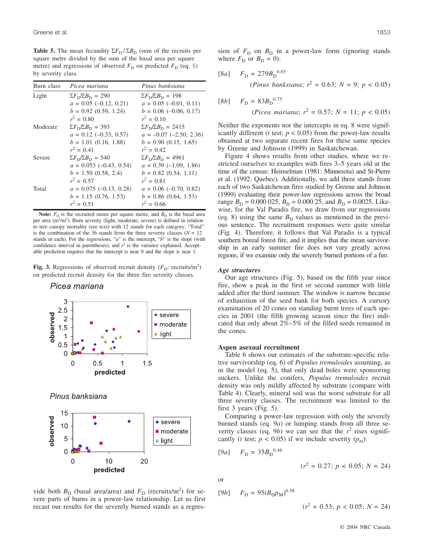**Table 5.** The mean fecundity  $\Sigma F_{\text{D}} / \Sigma B_{\text{D}}$  (sum of the recruits per square metre divided by the sum of the basal area per square metre) and regressions of observed  $F<sub>D</sub>$  on predicted  $F<sub>D</sub>$  (eq. 1) by severity class.

| Burn class | Picea mariana                             | Pinus banksiana                            |
|------------|-------------------------------------------|--------------------------------------------|
| Light      | $\Sigma F_{\rm D} \Sigma B_{\rm D} = 290$ | $\Sigma F_{\rm D}/\Sigma B_{\rm D} = 198$  |
|            | $a = 0.05$ (-0.12, 0.21)                  | $a = 0.05$ (-0.01, 0.11)                   |
|            | $b = 0.92$ (0.59, 1.24)                   | $b = 0.06$ (-0.06, 0.17)                   |
|            | $r^2 = 0.80$                              | $r^2 = 0.10$                               |
| Moderate   | $\Sigma F_{\rm D} \Sigma B_{\rm D} = 393$ | $\Sigma F_{\rm D}/\Sigma B_{\rm D} = 2415$ |
|            | $a = 0.12$ (-0.33, 0.57)                  | $a = -0.07$ (-2.50, 2.36)                  |
|            | $b = 1.01$ (0.16, 1.88)                   | $b = 0.90 (0.15, 1.65)$                    |
|            | $r^2 = 0.41$                              | $r^2 = 0.42$                               |
| Severe     | $\Sigma F_{\rm D}/\Sigma B_{\rm D} = 540$ | $\Sigma F_{\rm D} \Sigma B_{\rm D} = 4961$ |
|            | $a = 0.053 (-0.43, 0.54)$                 | $a = 0.39$ (-1.09, 1.86)                   |
|            | $b = 1.50$ (0.58, 2.4)                    | $b = 0.82$ (0.54, 1.11)                    |
|            | $r^2 = 0.57$                              | $r^2 = 0.81$                               |
| Total      | $a = 0.075$ (-0.13, 0.28)                 | $a = 0.06$ (-0.70, 0.82)                   |
|            | $b = 1.15$ (0.76, 1.53)                   | $b = 0.86$ (0.64, 1.53)                    |
|            | $r^2 = 0.51$                              | $r^2 = 0.66$                               |

**Note:**  $F<sub>D</sub>$  is the recruited stems per square metre, and  $B<sub>D</sub>$  is the basal area per area (m<sup>2</sup>/m<sup>2</sup>). Burn severity (light, moderate, severe) is defined in relation to tree canopy mortality (see text) with 12 stands for each category. "Total" is the combination of the 36 stands from the three severity classes  $(N = 12)$ stands in each). For the regressions, "*a*" is the intercept, "*b*" is the slope (with confidence interval in parentheses), and  $r^2$  is the variance explained. Acceptable prediction requires that the intercept is near 0 and the slope is near 1.

Fig. 3. Regressions of observed recruit density  $(F_D:$  recruits/m<sup>2</sup>) on predicted recruit density for the three fire severity classes.

Picea mariana



Pinus banksiana



vide both  $B_D$  (basal area/area) and  $F_D$  (recruits/m<sup>2</sup>) for severe parts of burns in a power-law relationship. Let us first recast our results for the severely burned stands as a regres-

sion of  $F<sub>D</sub>$  on  $B<sub>D</sub>$  in a power-law form (ignoring stands where  $F_D$  or  $B_D = 0$ ):

$$
\begin{aligned} \text{[8a]} \qquad F_{\text{D}} &= 279 B_{\text{D}}^{0.65} \\ \text{(Pinus banksiana; } r^2 &= 0.63; \, N = 9; \, p < 0.05) \end{aligned}
$$

[8b] 
$$
F_D = 83B_D^{0.75}
$$
  
(*Picea mariana*;  $r^2 = 0.57$ ;  $N = 11$ ;  $p < 0.05$ )

Neither the exponents nor the intercepts in eq. 8 were significantly different ( $t$  test;  $p < 0.05$ ) from the power-law results obtained at two separate recent fires for these same species by Greene and Johnson (1999) in Saskatchewan.

Figure 4 shows results from other studies, where we restricted ourselves to examples with fires 3–5 years old at the time of the census: Heinselman (1981: Minnesota) and St-Pierre et al. (1992: Quebec). Additionally, we add three stands from each of two Saskatchewan fires studied by Greene and Johnson (1999) evaluating their power-law regressions across the broad range  $B_D = 0.000 025$ ,  $B_D = 0.000 25$ , and  $B_D = 0.0025$ . Likewise, for the Val Paradis fire, we draw from our regressions (eq. 8) using the same  $B<sub>D</sub>$  values as mentioned in the previous sentence. The recruitment responses were quite similar (Fig. 4). Therefore, it follows that Val Paradis is a typical southern boreal forest fire, and it implies that the mean survivorship in an early summer fire does not vary greatly across regions, if we examine only the severely burned portions of a fire.

#### *Age structures*

Our age structures (Fig. 5), based on the fifth year since fire, show a peak in the first or second summer with little added after the third summer. The window is narrow because of exhaustion of the seed bank for both species. A cursory examination of 20 cones on standing burnt trees of each species in 2001 (the fifth growing season since the fire) indicated that only about 2%–5% of the filled seeds remained in the cones.

#### **Aspen asexual recruitment**

Table 6 shows our estimates of the substrate-specific relative survivorship (eq. 6) of *Populus tremuloides* assuming, as in the model (eq. 5), that only dead boles were sponsoring suckers. Unlike the conifers, *Populus tremuloides* recruit density was only mildly affected by substrate (compare with Table 4). Clearly, mineral soil was the worst substrate for all three severity classes. The recruitment was limited to the first 3 years (Fig. 5).

Comparing a power-law regression with only the severely burned stands (eq. 9*a*) or lumping stands from all three severity classes (eq. 9*b*) we can see that the  $r^2$  rises significantly (*t* test;  $p < 0.05$ ) if we include severity ( $p_m$ ):

$$
[9a] \quad F_{\rm D} = 35B_{\rm D}^{0.46}
$$

 $(r^2 = 0.27; p < 0.05; N = 24)$ 

or

[9b] 
$$
F_D = 95(B_D p_M)^{0.58}
$$

$$
(r^2 = 0.53; p < 0.05; N = 24)
$$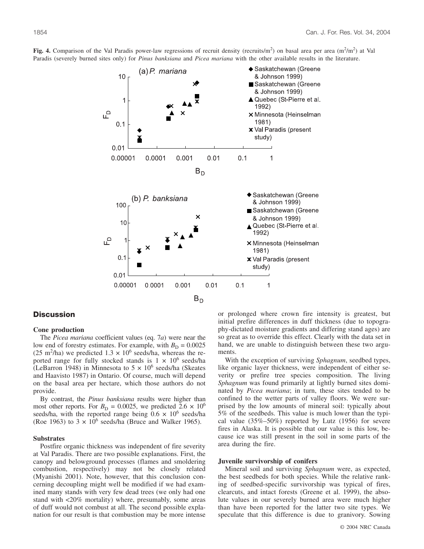

Fig. 4. Comparison of the Val Paradis power-law regressions of recruit density (recruits/m<sup>2</sup>) on basal area per area  $(m^2/m^2)$  at Val Paradis (severely burned sites only) for *Pinus banksiana* and *Picea mariana* with the other available results in the literature.

# **Discussion**

## **Cone production**

The *Picea mariana* coefficient values (eq. 7*a*) were near the low end of forestry estimates. For example, with  $B<sub>D</sub> = 0.0025$ (25 m<sup>2</sup>/ha) we predicted 1.3  $\times$  10<sup>6</sup> seeds/ha, whereas the reported range for fully stocked stands is  $1 \times 10^6$  seeds/ha (LeBarron 1948) in Minnesota to  $5 \times 10^6$  seeds/ha (Skeates and Haavisto 1987) in Ontario. Of course, much will depend on the basal area per hectare, which those authors do not provide.

By contrast, the *Pinus banksiana* results were higher than most other reports. For  $B<sub>D</sub> = 0.0025$ , we predicted 2.6  $\times$  10<sup>6</sup> seeds/ha, with the reported range being  $0.6 \times 10^6$  seeds/ha (Roe 1963) to  $3 \times 10^6$  seeds/ha (Bruce and Walker 1965).

#### **Substrates**

Postfire organic thickness was independent of fire severity at Val Paradis. There are two possible explanations. First, the canopy and belowground processes (flames and smoldering combustion, respectively) may not be closely related (Myanishi 2001). Note, however, that this conclusion concerning decoupling might well be modified if we had examined many stands with very few dead trees (we only had one stand with <20% mortality) where, presumably, some areas of duff would not combust at all. The second possible explanation for our result is that combustion may be more intense or prolonged where crown fire intensity is greatest, but initial prefire differences in duff thickness (due to topography-dictated moisture gradients and differing stand ages) are so great as to override this effect. Clearly with the data set in hand, we are unable to distinguish between these two arguments.

With the exception of surviving *Sphagnum*, seedbed types, like organic layer thickness, were independent of either severity or prefire tree species composition. The living *Sphagnum* was found primarily at lightly burned sites dominated by *Picea mariana*; in turn, these sites tended to be confined to the wetter parts of valley floors. We were surprised by the low amounts of mineral soil: typically about 5% of the seedbeds. This value is much lower than the typical value (35%–50%) reported by Lutz (1956) for severe fires in Alaska. It is possible that our value is this low, because ice was still present in the soil in some parts of the area during the fire.

## **Juvenile survivorship of conifers**

Mineral soil and surviving *Sphagnum* were, as expected, the best seedbeds for both species. While the relative ranking of seedbed-specific survivorship was typical of fires, clearcuts, and intact forests (Greene et al. 1999), the absolute values in our severely burned area were much higher than have been reported for the latter two site types. We speculate that this difference is due to granivory. Sowing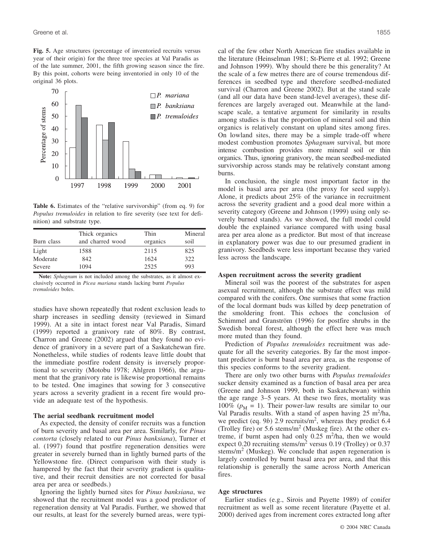**Fig. 5.** Age structures (percentage of inventoried recruits versus year of their origin) for the three tree species at Val Paradis as of the late summer, 2001, the fifth growing season since the fire. By this point, cohorts were being inventoried in only 10 of the original 36 plots.



**Table 6.** Estimates of the "relative survivorship" (from eq. 9) for *Populus tremuloides* in relation to fire severity (see text for definition) and substrate type.

| Burn class | Thick organics<br>and charred wood | Thin<br>organics | Mineral<br>soil |
|------------|------------------------------------|------------------|-----------------|
| Light      | 1588                               | 2115             | 825             |
| Moderate   | 842                                | 1624             | 322             |
| Severe     | 1094                               | 2525             | 993             |

**Note:** *Sphagnum* is not included among the substrates, as it almost exclusively occurred in *Picea mariana* stands lacking burnt *Populus tremuloides* boles.

studies have shown repeatedly that rodent exclusion leads to sharp increases in seedling density (reviewed in Simard 1999). At a site in intact forest near Val Paradis, Simard (1999) reported a granivory rate of 80%. By contrast, Charron and Greene (2002) argued that they found no evidence of granivory in a severe part of a Saskatchewan fire. Nonetheless, while studies of rodents leave little doubt that the immediate postfire rodent density is inversely proportional to severity (Motobu 1978; Ahlgren 1966), the argument that the granivory rate is likewise proportional remains to be tested. One imagines that sowing for 3 consecutive years across a severity gradient in a recent fire would provide an adequate test of the hypothesis.

# **The aerial seedbank recruitment model**

As expected, the density of conifer recruits was a function of burn severity and basal area per area. Similarly, for *Pinus contorta* (closely related to our *Pinus banksiana*), Turner et al. (1997) found that postfire regeneration densities were greater in severely burned than in lightly burned parts of the Yellowstone fire. (Direct comparison with their study is hampered by the fact that their severity gradient is qualitative, and their recruit densities are not corrected for basal area per area or seedbeds.)

Ignoring the lightly burned sites for *Pinus banksiana*, we showed that the recruitment model was a good predictor of regeneration density at Val Paradis. Further, we showed that our results, at least for the severely burned areas, were typical of the few other North American fire studies available in the literature (Heinselman 1981; St-Pierre et al. 1992; Greene and Johnson 1999). Why should there be this generality? At the scale of a few metres there are of course tremendous differences in seedbed type and therefore seedbed-mediated survival (Charron and Greene 2002). But at the stand scale (and all our data have been stand-level averages), these differences are largely averaged out. Meanwhile at the landscape scale, a tentative argument for similarity in results among studies is that the proportion of mineral soil and thin organics is relatively constant on upland sites among fires. On lowland sites, there may be a simple trade-off where modest combustion promotes *Sphagnum* survival, but more intense combustion provides more mineral soil or thin organics. Thus, ignoring granivory, the mean seedbed-mediated survivorship across stands may be relatively constant among burns.

In conclusion, the single most important factor in the model is basal area per area (the proxy for seed supply). Alone, it predicts about 25% of the variance in recruitment across the severity gradient and a good deal more within a severity category (Greene and Johnson (1999) using only severely burned stands). As we showed, the full model could double the explained variance compared with using basal area per area alone as a predictor. But most of that increase in explanatory power was due to our presumed gradient in granivory. Seedbeds were less important because they varied less across the landscape.

#### **Aspen recruitment across the severity gradient**

Mineral soil was the poorest of the substrates for aspen asexual recruitment, although the substrate effect was mild compared with the conifers. One surmises that some fraction of the local dormant buds was killed by deep penetration of the smoldering front. This echoes the conclusion of Schimmel and Granström (1996) for postfire shrubs in the Swedish boreal forest, although the effect here was much more muted than they found.

Prediction of *Populus tremuloides* recruitment was adequate for all the severity categories. By far the most important predictor is burnt basal area per area, as the response of this species conforms to the severity gradient.

There are only two other burns with *Populus tremuloides* sucker density examined as a function of basal area per area (Greene and Johnson 1999, both in Saskatchewan) within the age range 3–5 years. At these two fires, mortality was 100% ( $p_M = 1$ ). Their power-law results are similar to our Val Paradis results. With a stand of aspen having 25 m<sup>2</sup>/ha, we predict (eq. 9*b*) 2.9 recruits/m<sup>2</sup>, whereas they predict 6.4 (Trolley fire) or 5.6 stems/ $m<sup>2</sup>$  (Muskeg fire). At the other extreme, if burnt aspen had only  $0.25 \text{ m}^2/\text{ha}$ , then we would expect 0.20 recruiting stems/m<sup>2</sup> versus 0.19 (Trolley) or 0.37 stems/ $m<sup>2</sup>$  (Muskeg). We conclude that aspen regeneration is largely controlled by burnt basal area per area, and that this relationship is generally the same across North American fires.

#### **Age structures**

Earlier studies (e.g., Sirois and Payette 1989) of conifer recruitment as well as some recent literature (Payette et al. 2000) derived ages from increment cores extracted long after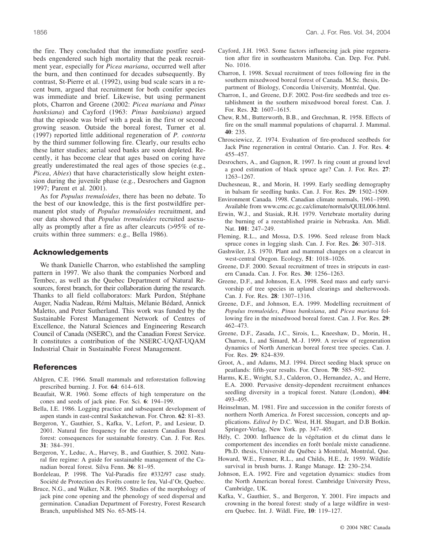the fire. They concluded that the immediate postfire seedbeds engendered such high mortality that the peak recruitment year, especially for *Picea mariana*, occurred well after the burn, and then continued for decades subsequently. By contrast, St-Pierre et al. (1992), using bud scale scars in a recent burn, argued that recruitment for both conifer species was immediate and brief. Likewise, but using permanent plots, Charron and Greene (2002: *Picea mariana* and *Pinus banksiana*) and Cayford (1963: *Pinus banksiana*) argued that the episode was brief with a peak in the first or second growing season. Outside the boreal forest, Turner et al. (1997) reported little additional regeneration of *P. contorta* by the third summer following fire. Clearly, our results echo these latter studies; aerial seed banks are soon depleted. Recently, it has become clear that ages based on coring have greatly underestimated the real ages of those species (e.g., *Picea*, *Abies*) that have characteristically slow height extension during the juvenile phase (e.g., Desrochers and Gagnon 1997; Parent et al. 2001).

As for *Populus tremuloides*, there has been no debate. To the best of our knowledge, this is the first postwildfire permanent plot study of *Populus tremuloides* recruitment, and our data showed that *Populus tremuloides* recruited asexually as promptly after a fire as after clearcuts (>95% of recruits within three summers: e.g., Bella 1986).

# **Acknowledgements**

We thank Danielle Charron, who established the sampling pattern in 1997. We also thank the companies Norbord and Tembec, as well as the Quebec Department of Natural Resources, forest branch, for their collaboration during the research. Thanks to all field collaborators: Mark Purdon, Stéphane Auger, Nadia Nadeau, Rémi Maltais, Mélanie Bédard, Annick Maletto, and Peter Sutherland. This work was funded by the Sustainable Forest Management Network of Centres of Excellence, the Natural Sciences and Engineering Research Council of Canada (NSERC), and the Canadian Forest Service. It constitutes a contribution of the NSERC-UQAT-UQAM Industrial Chair in Sustainable Forest Management.

# **References**

- Ahlgren, C.E. 1966. Small mammals and reforestation following prescribed burning. J. For. **64**: 614–618.
- Beaufait, W.R. 1960. Some effects of high temperature on the cones and seeds of jack pine. For. Sci. **6**: 194–199.
- Bella, I.E. 1986. Logging practice and subsequent development of aspen stands in east-central Saskatchewan. For. Chron. **62**: 81–83.
- Bergeron, Y., Gauthier, S., Kafka, V., Lefort, P., and Lesieur, D. 2001. Natural fire frequency for the eastern Canadian Boreal forest: consequences for sustainable forestry. Can. J. For. Res. **31**: 384–391.
- Bergeron, Y., Leduc, A., Harvey, B., and Gauthier, S. 2002. Natural fire regime: A guide for sustainable management of the Canadian boreal forest. Silva Fenn. **36**: 81–95.

Bordeleau, P. 1998. The Val-Paradis fire #332/97 case study. Société de Protection des Forêts contre le feu, Val-d'Or, Quebec.

Bruce, N.G., and Walker, N.R. 1965. Studies of the morphology of jack pine cone opening and the phenology of seed dispersal and germination. Canadian Department of Forestry, Forest Research Branch, unpublished MS No. 65-MS-14.

- Cayford, J.H. 1963. Some factors influencing jack pine regeneration after fire in southeastern Manitoba. Can. Dep. For. Publ. No. 1016.
- Charron, I. 1998. Sexual recruitment of trees following fire in the southern mixedwood boreal forest of Canada. M.Sc. thesis, Department of Biology, Concordia University, Montréal, Que.
- Charron, I., and Greene, D.F. 2002. Post-fire seedbeds and tree establishment in the southern mixedwood boreal forest. Can. J. For. Res. **32**: 1607–1615.
- Chew, R.M., Butterworth, B.B., and Grechman, R. 1958. Effects of fire on the small mammal populations of chaparral. J. Mammal. **40**: 235.
- Chrosciewicz, Z. 1974. Evaluation of fire-produced seedbeds for Jack Pine regeneration in central Ontario. Can. J. For. Res. **4**: 455–457.
- Desrochers, A., and Gagnon, R. 1997. Is ring count at ground level a good estimation of black spruce age? Can. J. For. Res. **27**: 1263–1267.
- Duchesneau, R., and Morin, H. 1999. Early seedling demography in balsam fir seedling banks. Can. J. For. Res. **29**: 1502–1509.
- Environment Canada. 1998. Canadian climate normals, 1961–1990. Available from www.cmc.ec.gc.ca/climate/normals/QUEL006.html.
- Erwin, W.J., and Stasiak, R.H. 1979. Vertebrate mortality during the burning of a reestablished prairie in Nebraska. Am. Midl. Nat. **101**: 247–249.
- Fleming, R.L., and Mossa, D.S. 1996. Seed release from black spruce cones in logging slash. Can. J. For. Res. **26**: 307–318.
- Gashwiler, J.S. 1970. Plant and mammal changes on a clearcut in west-central Oregon. Ecology, **51**: 1018–1026.
- Greene, D.F. 2000. Sexual recruitment of trees in stripcuts in eastern Canada. Can. J. For. Res. **30**: 1256–1263.
- Greene, D.F., and Johnson, E.A. 1998. Seed mass and early survivorship of tree species in upland clearings and shelterwoods. Can. J. For. Res. **28**: 1307–1316.
- Greene, D.F., and Johnson, E.A. 1999. Modelling recruitment of *Populus tremuloides*, *Pinus banksiana*, and *Picea mariana* following fire in the mixedwood boreal forest. Can. J. For. Res. **29**: 462–473.
- Greene, D.F., Zasada, J.C., Sirois, L., Kneeshaw, D., Morin, H., Charron, I., and Simard, M.-J. 1999. A review of regeneration dynamics of North American boreal forest tree species. Can. J. For. Res. **29**: 824–839.
- Groot, A., and Adams, M.J. 1994. Direct seeding black spruce on peatlands: fifth-year results. For. Chron. **70**: 585–592.
- Harms, K.E., Wright, S.J., Calderon, O., Hernandez, A., and Herre, E.A. 2000. Pervasive density-dependent recruitment enhances seedling diversity in a tropical forest. Nature (London), **404**: 493–495.
- Heinselman, M. 1981. Fire and succession in the conifer forests of northern North America. *In* Forest succession, concepts and applications. *Edited by* D.C. West, H.H. Shugart, and D.B Botkin. Springer-Verlag, New York. pp. 347–405.
- Hély, C. 2000. Influence de la végétation et du climat dans le comportement des incendies en forêt boréale mixte canadienne. Ph.D. thesis, Université du Québec à Montréal, Montréal, Que.
- Howard, W.E., Fenner, R.L., and Childs, H.E., Jr. 1959. Wildlife survival in brush burns. J. Range Manage. **12**: 230–234.
- Johnson, E.A. 1992. Fire and vegetation dynamics: studies from the North American boreal forest. Cambridge University Press, Cambridge, UK.
- Kafka, V., Gauthier, S., and Bergeron, Y. 2001. Fire impacts and crowning in the boreal forest: study of a large wildfire in western Quebec. Int. J. Wildl. Fire, **10**: 119–127.